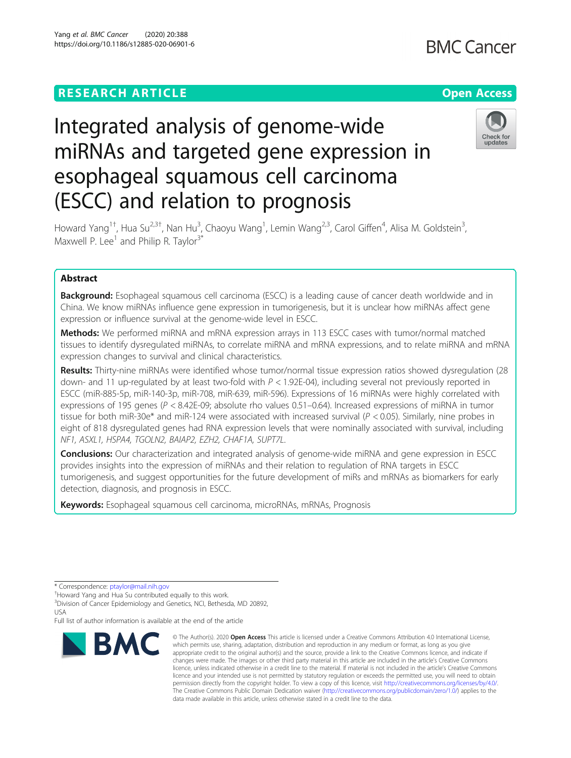## **RESEARCH ARTICLE Example 2014 12:30 The Contract of Contract ACCESS**

# Integrated analysis of genome-wide miRNAs and targeted gene expression in esophageal squamous cell carcinoma (ESCC) and relation to prognosis



Howard Yang<sup>1†</sup>, Hua Su<sup>2,3†</sup>, Nan Hu<sup>3</sup>, Chaoyu Wang<sup>1</sup>, Lemin Wang<sup>2,3</sup>, Carol Giffen<sup>4</sup>, Alisa M. Goldstein<sup>3</sup> , Maxwell P. Lee<sup>1</sup> and Philip R. Taylor<sup>3\*</sup>

## Abstract

**Background:** Esophageal squamous cell carcinoma (ESCC) is a leading cause of cancer death worldwide and in China. We know miRNAs influence gene expression in tumorigenesis, but it is unclear how miRNAs affect gene expression or influence survival at the genome-wide level in ESCC.

Methods: We performed miRNA and mRNA expression arrays in 113 ESCC cases with tumor/normal matched tissues to identify dysregulated miRNAs, to correlate miRNA and mRNA expressions, and to relate miRNA and mRNA expression changes to survival and clinical characteristics.

Results: Thirty-nine miRNAs were identified whose tumor/normal tissue expression ratios showed dysregulation (28 down- and 11 up-regulated by at least two-fold with  $P < 1.92E-04$ ), including several not previously reported in ESCC (miR-885-5p, miR-140-3p, miR-708, miR-639, miR-596). Expressions of 16 miRNAs were highly correlated with expressions of 195 genes (P < 8.42E-09; absolute rho values 0.51–0.64). Increased expressions of miRNA in tumor tissue for both miR-30e\* and miR-124 were associated with increased survival ( $P < 0.05$ ). Similarly, nine probes in eight of 818 dysregulated genes had RNA expression levels that were nominally associated with survival, including NF1, ASXL1, HSPA4, TGOLN2, BAIAP2, EZH2, CHAF1A, SUPT7L.

**Conclusions:** Our characterization and integrated analysis of genome-wide miRNA and gene expression in ESCC provides insights into the expression of miRNAs and their relation to regulation of RNA targets in ESCC tumorigenesis, and suggest opportunities for the future development of miRs and mRNAs as biomarkers for early detection, diagnosis, and prognosis in ESCC.

Keywords: Esophageal squamous cell carcinoma, microRNAs, mRNAs, Prognosis

Full list of author information is available at the end of the article



<sup>©</sup> The Author(s), 2020 **Open Access** This article is licensed under a Creative Commons Attribution 4.0 International License, which permits use, sharing, adaptation, distribution and reproduction in any medium or format, as long as you give appropriate credit to the original author(s) and the source, provide a link to the Creative Commons licence, and indicate if changes were made. The images or other third party material in this article are included in the article's Creative Commons licence, unless indicated otherwise in a credit line to the material. If material is not included in the article's Creative Commons licence and your intended use is not permitted by statutory regulation or exceeds the permitted use, you will need to obtain permission directly from the copyright holder. To view a copy of this licence, visit [http://creativecommons.org/licenses/by/4.0/.](http://creativecommons.org/licenses/by/4.0/) The Creative Commons Public Domain Dedication waiver [\(http://creativecommons.org/publicdomain/zero/1.0/](http://creativecommons.org/publicdomain/zero/1.0/)) applies to the data made available in this article, unless otherwise stated in a credit line to the data.

<sup>\*</sup> Correspondence: [ptaylor@mail.nih.gov](mailto:ptaylor@mail.nih.gov) †

<sup>&</sup>lt;sup>+</sup>Howard Yang and Hua Su contributed equally to this work.

<sup>&</sup>lt;sup>3</sup>Division of Cancer Epidemiology and Genetics, NCI, Bethesda, MD 20892, USA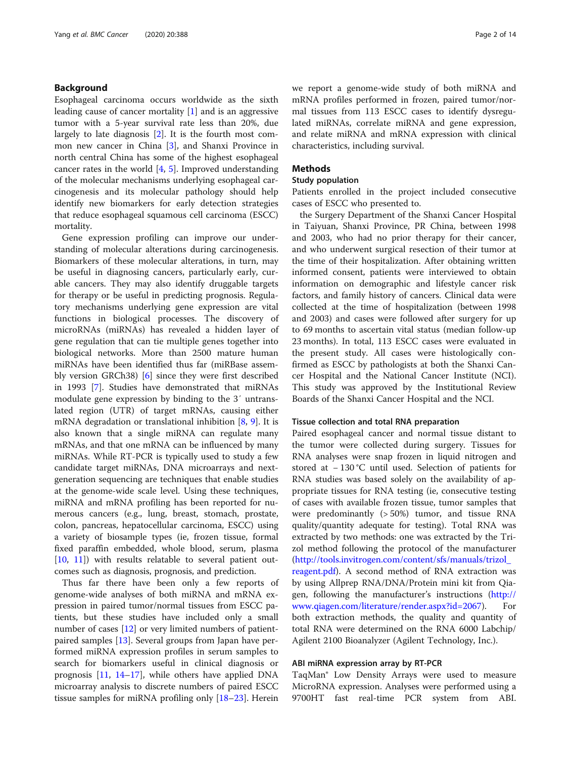## Background

Esophageal carcinoma occurs worldwide as the sixth leading cause of cancer mortality [\[1](#page-13-0)] and is an aggressive tumor with a 5-year survival rate less than 20%, due largely to late diagnosis [\[2](#page-13-0)]. It is the fourth most common new cancer in China [\[3](#page-13-0)], and Shanxi Province in north central China has some of the highest esophageal cancer rates in the world  $[4, 5]$  $[4, 5]$  $[4, 5]$  $[4, 5]$ . Improved understanding of the molecular mechanisms underlying esophageal carcinogenesis and its molecular pathology should help identify new biomarkers for early detection strategies that reduce esophageal squamous cell carcinoma (ESCC) mortality.

Gene expression profiling can improve our understanding of molecular alterations during carcinogenesis. Biomarkers of these molecular alterations, in turn, may be useful in diagnosing cancers, particularly early, curable cancers. They may also identify druggable targets for therapy or be useful in predicting prognosis. Regulatory mechanisms underlying gene expression are vital functions in biological processes. The discovery of microRNAs (miRNAs) has revealed a hidden layer of gene regulation that can tie multiple genes together into biological networks. More than 2500 mature human miRNAs have been identified thus far (miRBase assembly version GRCh38) [\[6](#page-13-0)] since they were first described in 1993 [\[7](#page-13-0)]. Studies have demonstrated that miRNAs modulate gene expression by binding to the 3′ untranslated region (UTR) of target mRNAs, causing either mRNA degradation or translational inhibition [\[8](#page-13-0), [9](#page-13-0)]. It is also known that a single miRNA can regulate many mRNAs, and that one mRNA can be influenced by many miRNAs. While RT-PCR is typically used to study a few candidate target miRNAs, DNA microarrays and nextgeneration sequencing are techniques that enable studies at the genome-wide scale level. Using these techniques, miRNA and mRNA profiling has been reported for numerous cancers (e.g., lung, breast, stomach, prostate, colon, pancreas, hepatocellular carcinoma, ESCC) using a variety of biosample types (ie, frozen tissue, formal fixed paraffin embedded, whole blood, serum, plasma [[10,](#page-13-0) [11\]](#page-13-0)) with results relatable to several patient outcomes such as diagnosis, prognosis, and prediction.

Thus far there have been only a few reports of genome-wide analyses of both miRNA and mRNA expression in paired tumor/normal tissues from ESCC patients, but these studies have included only a small number of cases [[12](#page-13-0)] or very limited numbers of patientpaired samples [\[13](#page-13-0)]. Several groups from Japan have performed miRNA expression profiles in serum samples to search for biomarkers useful in clinical diagnosis or prognosis [[11,](#page-13-0) [14](#page-13-0)–[17\]](#page-13-0), while others have applied DNA microarray analysis to discrete numbers of paired ESCC tissue samples for miRNA profiling only [[18](#page-13-0)–[23](#page-13-0)]. Herein we report a genome-wide study of both miRNA and mRNA profiles performed in frozen, paired tumor/normal tissues from 113 ESCC cases to identify dysregulated miRNAs, correlate miRNA and gene expression, and relate miRNA and mRNA expression with clinical characteristics, including survival.

## Methods

## Study population

Patients enrolled in the project included consecutive cases of ESCC who presented to.

the Surgery Department of the Shanxi Cancer Hospital in Taiyuan, Shanxi Province, PR China, between 1998 and 2003, who had no prior therapy for their cancer, and who underwent surgical resection of their tumor at the time of their hospitalization. After obtaining written informed consent, patients were interviewed to obtain information on demographic and lifestyle cancer risk factors, and family history of cancers. Clinical data were collected at the time of hospitalization (between 1998 and 2003) and cases were followed after surgery for up to 69 months to ascertain vital status (median follow-up 23 months). In total, 113 ESCC cases were evaluated in the present study. All cases were histologically confirmed as ESCC by pathologists at both the Shanxi Cancer Hospital and the National Cancer Institute (NCI). This study was approved by the Institutional Review Boards of the Shanxi Cancer Hospital and the NCI.

## Tissue collection and total RNA preparation

Paired esophageal cancer and normal tissue distant to the tumor were collected during surgery. Tissues for RNA analyses were snap frozen in liquid nitrogen and stored at − 130 °C until used. Selection of patients for RNA studies was based solely on the availability of appropriate tissues for RNA testing (ie, consecutive testing of cases with available frozen tissue, tumor samples that were predominantly (> 50%) tumor, and tissue RNA quality/quantity adequate for testing). Total RNA was extracted by two methods: one was extracted by the Trizol method following the protocol of the manufacturer ([http://tools.invitrogen.com/content/sfs/manuals/trizol\\_](http://tools.invitrogen.com/content/sfs/manuals/trizol_reagent.pdf)

[reagent.pdf](http://tools.invitrogen.com/content/sfs/manuals/trizol_reagent.pdf)). A second method of RNA extraction was by using Allprep RNA/DNA/Protein mini kit from Qiagen, following the manufacturer's instructions [\(http://](http://www.qiagen.com/literature/render.aspx?id=2067) [www.qiagen.com/literature/render.aspx?id=2067](http://www.qiagen.com/literature/render.aspx?id=2067)). For both extraction methods, the quality and quantity of total RNA were determined on the RNA 6000 Labchip/ Agilent 2100 Bioanalyzer (Agilent Technology, Inc.).

## ABI miRNA expression array by RT-PCR

TaqMan® Low Density Arrays were used to measure MicroRNA expression. Analyses were performed using a 9700HT fast real-time PCR system from ABI.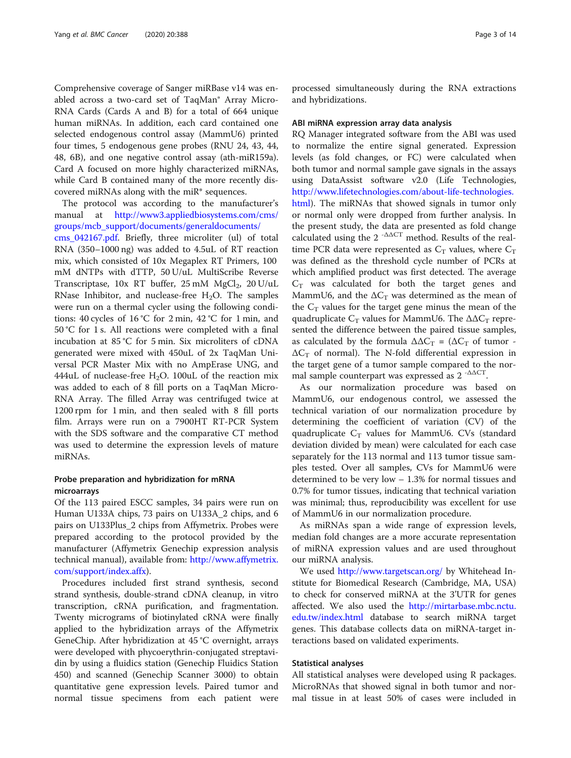Comprehensive coverage of Sanger miRBase v14 was enabled across a two-card set of TaqMan® Array Micro-RNA Cards (Cards A and B) for a total of 664 unique human miRNAs. In addition, each card contained one selected endogenous control assay (MammU6) printed four times, 5 endogenous gene probes (RNU 24, 43, 44, 48, 6B), and one negative control assay (ath-miR159a). Card A focused on more highly characterized miRNAs, while Card B contained many of the more recently discovered miRNAs along with the miR\* sequences.

The protocol was according to the manufacturer's manual at [http://www3.appliedbiosystems.com/cms/](http://www3.appliedbiosystems.com/cms/groups/mcb_support/documents/generaldocuments/cms_042167.pdf) [groups/mcb\\_support/documents/generaldocuments/](http://www3.appliedbiosystems.com/cms/groups/mcb_support/documents/generaldocuments/cms_042167.pdf)

[cms\\_042167.pdf.](http://www3.appliedbiosystems.com/cms/groups/mcb_support/documents/generaldocuments/cms_042167.pdf) Briefly, three microliter (ul) of total RNA (350–1000 ng) was added to 4.5uL of RT reaction mix, which consisted of 10x Megaplex RT Primers, 100 mM dNTPs with dTTP, 50 U/uL MultiScribe Reverse Transcriptase,  $10x$  RT buffer,  $25$  mM MgCl<sub>2</sub>,  $20$  U/uL RNase Inhibitor, and nuclease-free  $H_2O$ . The samples were run on a thermal cycler using the following conditions: 40 cycles of 16 °C for 2 min, 42 °C for 1 min, and 50 °C for 1 s. All reactions were completed with a final incubation at 85 °C for 5 min. Six microliters of cDNA generated were mixed with 450uL of 2x TaqMan Universal PCR Master Mix with no AmpErase UNG, and 444uL of nuclease-free  $H_2O$ . 100uL of the reaction mix was added to each of 8 fill ports on a TaqMan Micro-RNA Array. The filled Array was centrifuged twice at 1200 rpm for 1 min, and then sealed with 8 fill ports film. Arrays were run on a 7900HT RT-PCR System with the SDS software and the comparative CT method was used to determine the expression levels of mature miRNAs.

## Probe preparation and hybridization for mRNA microarrays

Of the 113 paired ESCC samples, 34 pairs were run on Human U133A chips, 73 pairs on U133A\_2 chips, and 6 pairs on U133Plus\_2 chips from Affymetrix. Probes were prepared according to the protocol provided by the manufacturer (Affymetrix Genechip expression analysis technical manual), available from: [http://www.affymetrix.](http://www.affymetrix.com/support/index.affx) [com/support/index.affx\)](http://www.affymetrix.com/support/index.affx).

Procedures included first strand synthesis, second strand synthesis, double-strand cDNA cleanup, in vitro transcription, cRNA purification, and fragmentation. Twenty micrograms of biotinylated cRNA were finally applied to the hybridization arrays of the Affymetrix GeneChip. After hybridization at 45 °C overnight, arrays were developed with phycoerythrin-conjugated streptavidin by using a fluidics station (Genechip Fluidics Station 450) and scanned (Genechip Scanner 3000) to obtain quantitative gene expression levels. Paired tumor and normal tissue specimens from each patient were

processed simultaneously during the RNA extractions and hybridizations.

#### ABI miRNA expression array data analysis

RQ Manager integrated software from the ABI was used to normalize the entire signal generated. Expression levels (as fold changes, or FC) were calculated when both tumor and normal sample gave signals in the assays using DataAssist software v2.0 (Life Technologies, [http://www.lifetechnologies.com/about-life-technologies.](http://www.lifetechnologies.com/about-life-technologies.html) [html\)](http://www.lifetechnologies.com/about-life-technologies.html). The miRNAs that showed signals in tumor only or normal only were dropped from further analysis. In the present study, the data are presented as fold change calculated using the  $2^{-\Delta\Delta CT}$  method. Results of the realtime PCR data were represented as  $C_T$  values, where  $C_T$ was defined as the threshold cycle number of PCRs at which amplified product was first detected. The average  $C_T$  was calculated for both the target genes and MammU6, and the  $\Delta C_T$  was determined as the mean of the  $C_T$  values for the target gene minus the mean of the quadruplicate  $C_T$  values for MammU6. The  $\Delta \Delta C_T$  represented the difference between the paired tissue samples, as calculated by the formula  $\Delta \Delta C_T = (\Delta C_T)$  of tumor - $\Delta C_T$  of normal). The N-fold differential expression in the target gene of a tumor sample compared to the normal sample counterpart was expressed as  $2 \sqrt{-\Delta\Delta}$ .

As our normalization procedure was based on MammU6, our endogenous control, we assessed the technical variation of our normalization procedure by determining the coefficient of variation (CV) of the quadruplicate  $C_T$  values for MammU6. CVs (standard deviation divided by mean) were calculated for each case separately for the 113 normal and 113 tumor tissue samples tested. Over all samples, CVs for MammU6 were determined to be very low – 1.3% for normal tissues and 0.7% for tumor tissues, indicating that technical variation was minimal; thus, reproducibility was excellent for use of MammU6 in our normalization procedure.

As miRNAs span a wide range of expression levels, median fold changes are a more accurate representation of miRNA expression values and are used throughout our miRNA analysis.

We used <http://www.targetscan.org/> by Whitehead Institute for Biomedical Research (Cambridge, MA, USA) to check for conserved miRNA at the 3'UTR for genes affected. We also used the [http://mirtarbase.mbc.nctu.](http://mirtarbase.mbc.nctu.edu.tw/index.html) [edu.tw/index.html](http://mirtarbase.mbc.nctu.edu.tw/index.html) database to search miRNA target genes. This database collects data on miRNA-target interactions based on validated experiments.

## Statistical analyses

All statistical analyses were developed using R packages. MicroRNAs that showed signal in both tumor and normal tissue in at least 50% of cases were included in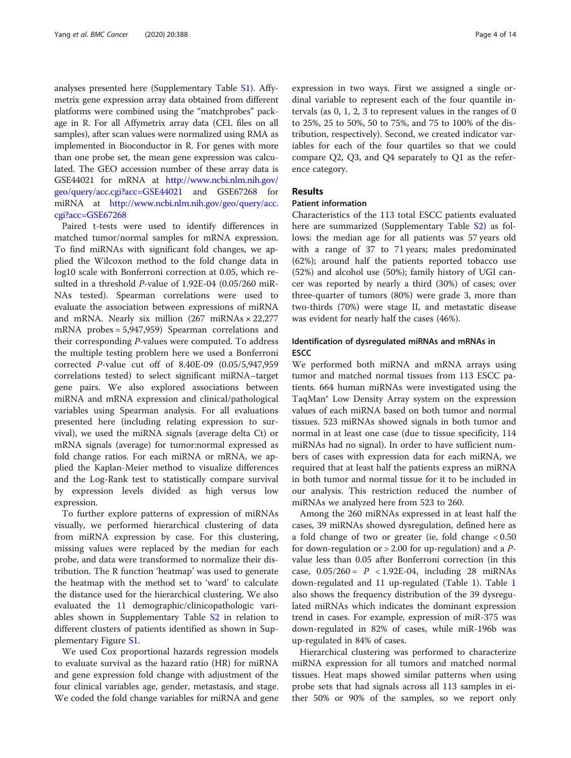analyses presented here (Supplementary Table [S1](#page-12-0)). Affymetrix gene expression array data obtained from different platforms were combined using the "matchprobes" package in R. For all Affymetrix array data (CEL files on all samples), after scan values were normalized using RMA as implemented in Bioconductor in R. For genes with more than one probe set, the mean gene expression was calculated. The GEO accession number of these array data is GSE44021 for mRNA at [http://www.ncbi.nlm.nih.gov/](http://www.ncbi.nlm.nih.gov/geo/query/acc.cgi?acc=GSE44021) [geo/query/acc.cgi?acc=GSE44021](http://www.ncbi.nlm.nih.gov/geo/query/acc.cgi?acc=GSE44021) and GSE67268 for miRNA at [http://www.ncbi.nlm.nih.gov/geo/query/acc.](http://www.ncbi.nlm.nih.gov/geo/query/acc.cgi?acc=GSE67268) [cgi?acc=GSE67268](http://www.ncbi.nlm.nih.gov/geo/query/acc.cgi?acc=GSE67268)

Paired t-tests were used to identify differences in matched tumor/normal samples for mRNA expression. To find miRNAs with significant fold changes, we applied the Wilcoxon method to the fold change data in log10 scale with Bonferroni correction at 0.05, which resulted in a threshold P-value of 1.92E-04 (0.05/260 miR-NAs tested). Spearman correlations were used to evaluate the association between expressions of miRNA and mRNA. Nearly six million (267 miRNAs × 22,277 mRNA probes = 5,947,959) Spearman correlations and their corresponding P-values were computed. To address the multiple testing problem here we used a Bonferroni corrected P-value cut off of 8.40E-09 (0.05/5,947,959 correlations tested) to select significant miRNA–target gene pairs. We also explored associations between miRNA and mRNA expression and clinical/pathological variables using Spearman analysis. For all evaluations presented here (including relating expression to survival), we used the miRNA signals (average delta Ct) or mRNA signals (average) for tumor:normal expressed as fold change ratios. For each miRNA or mRNA, we applied the Kaplan-Meier method to visualize differences and the Log-Rank test to statistically compare survival by expression levels divided as high versus low expression.

To further explore patterns of expression of miRNAs visually, we performed hierarchical clustering of data from miRNA expression by case. For this clustering, missing values were replaced by the median for each probe, and data were transformed to normalize their distribution. The R function 'heatmap' was used to generate the heatmap with the method set to 'ward' to calculate the distance used for the hierarchical clustering. We also evaluated the 11 demographic/clinicopathologic variables shown in Supplementary Table [S2](#page-12-0) in relation to different clusters of patients identified as shown in Supplementary Figure [S1](#page-12-0).

We used Cox proportional hazards regression models to evaluate survival as the hazard ratio (HR) for miRNA and gene expression fold change with adjustment of the four clinical variables age, gender, metastasis, and stage. We coded the fold change variables for miRNA and gene expression in two ways. First we assigned a single ordinal variable to represent each of the four quantile intervals (as 0, 1, 2, 3 to represent values in the ranges of 0 to 25%, 25 to 50%, 50 to 75%, and 75 to 100% of the distribution, respectively). Second, we created indicator variables for each of the four quartiles so that we could compare Q2, Q3, and Q4 separately to Q1 as the reference category.

## Results

## Patient information

Characteristics of the 113 total ESCC patients evaluated here are summarized (Supplementary Table [S2](#page-12-0)) as follows: the median age for all patients was 57 years old with a range of 37 to 71 years; males predominated (62%); around half the patients reported tobacco use (52%) and alcohol use (50%); family history of UGI cancer was reported by nearly a third (30%) of cases; over three-quarter of tumors (80%) were grade 3, more than two-thirds (70%) were stage II, and metastatic disease was evident for nearly half the cases (46%).

## Identification of dysregulated miRNAs and mRNAs in **ESCC**

We performed both miRNA and mRNA arrays using tumor and matched normal tissues from 113 ESCC patients. 664 human miRNAs were investigated using the TaqMan® Low Density Array system on the expression values of each miRNA based on both tumor and normal tissues. 523 miRNAs showed signals in both tumor and normal in at least one case (due to tissue specificity, 114 miRNAs had no signal). In order to have sufficient numbers of cases with expression data for each miRNA, we required that at least half the patients express an miRNA in both tumor and normal tissue for it to be included in our analysis. This restriction reduced the number of miRNAs we analyzed here from 523 to 260.

Among the 260 miRNAs expressed in at least half the cases, 39 miRNAs showed dysregulation, defined here as a fold change of two or greater (ie, fold change < 0.50 for down-regulation or  $> 2.00$  for up-regulation) and a  $P$ value less than 0.05 after Bonferroni correction (in this case,  $0.05/260 = P < 1.92E-04$ , including 28 miRNAs down-regulated and 11 up-regulated (Table [1](#page-4-0)). Table [1](#page-4-0) also shows the frequency distribution of the 39 dysregulated miRNAs which indicates the dominant expression trend in cases. For example, expression of miR-375 was down-regulated in 82% of cases, while miR-196b was up-regulated in 84% of cases.

Hierarchical clustering was performed to characterize miRNA expression for all tumors and matched normal tissues. Heat maps showed similar patterns when using probe sets that had signals across all 113 samples in either 50% or 90% of the samples, so we report only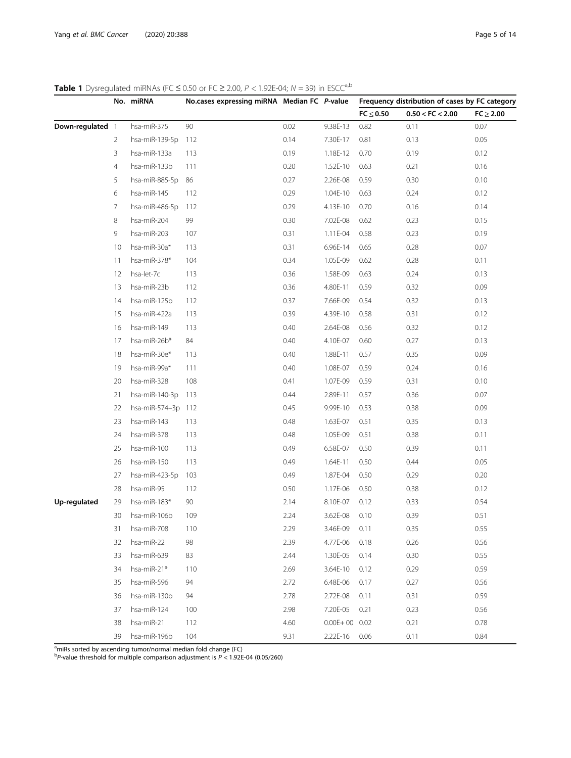## <span id="page-4-0"></span>**Table 1** Dysregulated miRNAs (FC ≤ 0.50 or FC ≥ 2.00,  $P$  < 1.92E-04;  $N = 39$ ) in ESCC<sup>a,b</sup>

|                  |                | No. miRNA          | No.cases expressing miRNA Median FC P-value |      |                   | Frequency distribution of cases by FC category |                  |                |  |
|------------------|----------------|--------------------|---------------------------------------------|------|-------------------|------------------------------------------------|------------------|----------------|--|
|                  |                |                    |                                             |      |                   | $FC \leq 0.50$                                 | 0.50 < FC < 2.00 | $FC \geq 2.00$ |  |
| Down-regulated 1 |                | hsa-miR-375        | 90                                          | 0.02 | 9.38E-13          | 0.82                                           | 0.11             | 0.07           |  |
|                  | 2              | hsa-miR-139-5p 112 |                                             | 0.14 | 7.30E-17          | 0.81                                           | 0.13             | 0.05           |  |
|                  | 3              | hsa-miR-133a       | 113                                         | 0.19 | 1.18E-12          | 0.70                                           | 0.19             | 0.12           |  |
|                  | $\overline{4}$ | hsa-miR-133b       | 111                                         | 0.20 | 1.52E-10          | 0.63                                           | 0.21             | 0.16           |  |
|                  | 5              | hsa-miR-885-5p 86  |                                             | 0.27 | 2.26E-08          | 0.59                                           | 0.30             | 0.10           |  |
|                  | 6              | hsa-miR-145        | 112                                         | 0.29 | 1.04E-10          | 0.63                                           | 0.24             | 0.12           |  |
|                  | 7              | hsa-miR-486-5p     | 112                                         | 0.29 | 4.13E-10          | 0.70                                           | 0.16             | 0.14           |  |
|                  | 8              | hsa-miR-204        | 99                                          | 0.30 | 7.02E-08          | 0.62                                           | 0.23             | 0.15           |  |
|                  | 9              | hsa-miR-203        | 107                                         | 0.31 | 1.11E-04          | 0.58                                           | 0.23             | 0.19           |  |
|                  | 10             | hsa-miR-30a*       | 113                                         | 0.31 | 6.96E-14          | 0.65                                           | 0.28             | 0.07           |  |
|                  | 11             | hsa-miR-378*       | 104                                         | 0.34 | 1.05E-09          | 0.62                                           | 0.28             | 0.11           |  |
|                  | 12             | hsa-let-7c         | 113                                         | 0.36 | 1.58E-09          | 0.63                                           | 0.24             | 0.13           |  |
|                  | 13             | hsa-miR-23b        | 112                                         | 0.36 | 4.80E-11          | 0.59                                           | 0.32             | 0.09           |  |
|                  | 14             | hsa-miR-125b       | 112                                         | 0.37 | 7.66E-09          | 0.54                                           | 0.32             | 0.13           |  |
|                  | 15             | hsa-miR-422a       | 113                                         | 0.39 | 4.39E-10          | 0.58                                           | 0.31             | 0.12           |  |
|                  | 16             | hsa-miR-149        | 113                                         | 0.40 | 2.64E-08          | 0.56                                           | 0.32             | 0.12           |  |
|                  | 17             | hsa-miR-26b*       | 84                                          | 0.40 | 4.10E-07          | 0.60                                           | 0.27             | 0.13           |  |
|                  | 18             | hsa-miR-30e*       | 113                                         | 0.40 | 1.88E-11          | 0.57                                           | 0.35             | 0.09           |  |
|                  | 19             | hsa-miR-99a*       | 111                                         | 0.40 | 1.08E-07          | 0.59                                           | 0.24             | 0.16           |  |
|                  | 20             | hsa-miR-328        | 108                                         | 0.41 | 1.07E-09          | 0.59                                           | 0.31             | 0.10           |  |
|                  | 21             | hsa-miR-140-3p     | 113                                         | 0.44 | 2.89E-11          | 0.57                                           | 0.36             | 0.07           |  |
|                  | 22             | hsa-miR-574-3p 112 |                                             | 0.45 | 9.99E-10          | 0.53                                           | 0.38             | 0.09           |  |
|                  | 23             | hsa-miR-143        | 113                                         | 0.48 | 1.63E-07          | 0.51                                           | 0.35             | 0.13           |  |
|                  | 24             | hsa-miR-378        | 113                                         | 0.48 | 1.05E-09          | 0.51                                           | 0.38             | 0.11           |  |
|                  | 25             | hsa-miR-100        | 113                                         | 0.49 | 6.58E-07          | 0.50                                           | 0.39             | 0.11           |  |
|                  | 26             | hsa-miR-150        | 113                                         | 0.49 | 1.64E-11          | 0.50                                           | 0.44             | 0.05           |  |
|                  | 27             | hsa-miR-423-5p     | 103                                         | 0.49 | 1.87E-04          | 0.50                                           | 0.29             | 0.20           |  |
|                  | 28             | hsa-miR-95         | 112                                         | 0.50 | 1.17E-06          | 0.50                                           | 0.38             | 0.12           |  |
| Up-regulated     | 29             | hsa-miR-183*       | 90                                          | 2.14 | 8.10E-07          | 0.12                                           | 0.33             | 0.54           |  |
|                  | 30             | hsa-miR-106b       | 109                                         | 2.24 | 3.62E-08          | 0.10                                           | 0.39             | 0.51           |  |
|                  | 31             | hsa-miR-708        | 110                                         | 2.29 | 3.46E-09          | 0.11                                           | 0.35             | 0.55           |  |
|                  | 32             | hsa-miR-22         | 98                                          | 2.39 | 4.77E-06          | 0.18                                           | 0.26             | 0.56           |  |
|                  | 33             | hsa-miR-639        | 83                                          | 2.44 | 1.30E-05          | 0.14                                           | 0.30             | 0.55           |  |
|                  | 34             | hsa-miR-21*        | 110                                         | 2.69 | 3.64E-10          | 0.12                                           | 0.29             | 0.59           |  |
|                  | 35             | hsa-miR-596        | 94                                          | 2.72 | 6.48E-06          | 0.17                                           | 0.27             | 0.56           |  |
|                  | 36             | hsa-miR-130b       | 94                                          | 2.78 | 2.72E-08          | 0.11                                           | 0.31             | 0.59           |  |
|                  | 37             | hsa-miR-124        | 100                                         | 2.98 | 7.20E-05          | 0.21                                           | 0.23             | 0.56           |  |
|                  | 38             | hsa-miR-21         | 112                                         | 4.60 | $0.00E + 00$ 0.02 |                                                | 0.21             | 0.78           |  |
|                  | 39             | hsa-miR-196b       | 104                                         | 9.31 | 2.22E-16          | 0.06                                           | 0.11             | 0.84           |  |

<sup>a</sup>miRs sorted by ascending tumor/normal median fold change (FC)<br><sup>b</sup>P-value threshold for multiple comparison adjustment is P < 1.92E-04 (0.05/260)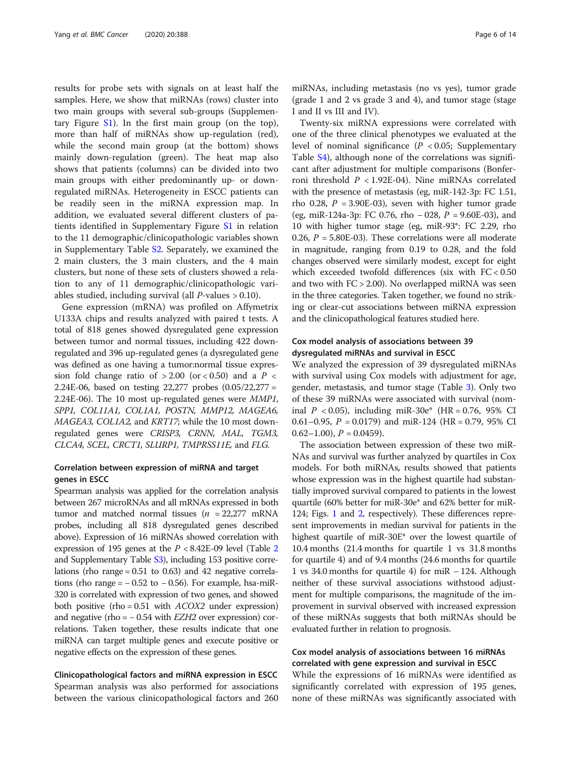results for probe sets with signals on at least half the samples. Here, we show that miRNAs (rows) cluster into two main groups with several sub-groups (Supplementary Figure  $\mathsf{S}_1$ ). In the first main group (on the top), more than half of miRNAs show up-regulation (red), while the second main group (at the bottom) shows mainly down-regulation (green). The heat map also shows that patients (columns) can be divided into two main groups with either predominantly up- or downregulated miRNAs. Heterogeneity in ESCC patients can be readily seen in the miRNA expression map. In addition, we evaluated several different clusters of patients identified in Supplementary Figure [S1](#page-12-0) in relation to the 11 demographic/clinicopathologic variables shown in Supplementary Table [S2](#page-12-0). Separately, we examined the 2 main clusters, the 3 main clusters, and the 4 main clusters, but none of these sets of clusters showed a relation to any of 11 demographic/clinicopathologic variables studied, including survival (all  $P$ -values  $> 0.10$ ).

Gene expression (mRNA) was profiled on Affymetrix U133A chips and results analyzed with paired t tests. A total of 818 genes showed dysregulated gene expression between tumor and normal tissues, including 422 downregulated and 396 up-regulated genes (a dysregulated gene was defined as one having a tumor:normal tissue expression fold change ratio of  $> 2.00$  (or  $< 0.50$ ) and a P  $<$ 2.24E-06, based on testing 22,277 probes (0.05/22,277 = 2.24E-06). The 10 most up-regulated genes were MMP1, SPP1, COL11A1, COL1A1, POSTN, MMP12, MAGEA6, MAGEA3, COL1A2, and KRT17; while the 10 most downregulated genes were CRISP3, CRNN, MAL, TGM3, CLCA4, SCEL, CRCT1, SLURP1, TMPRSS11E, and FLG.

## Correlation between expression of miRNA and target genes in ESCC

Spearman analysis was applied for the correlation analysis between 267 microRNAs and all mRNAs expressed in both tumor and matched normal tissues  $(n = 22,277 \text{ mRNA})$ probes, including all 818 dysregulated genes described above). Expression of 16 miRNAs showed correlation with expression of 195 genes at the P < 8.42E-09 level (Table [2](#page-6-0) and Supplementary Table [S3](#page-12-0)), including 153 positive correlations (rho range = 0.51 to 0.63) and 42 negative correlations (rho range =  $-0.52$  to  $-0.56$ ). For example, hsa-miR-320 is correlated with expression of two genes, and showed both positive (rho = 0.51 with ACOX2 under expression) and negative (rho =  $-0.54$  with  $EZH2$  over expression) correlations. Taken together, these results indicate that one miRNA can target multiple genes and execute positive or negative effects on the expression of these genes.

## Clinicopathological factors and miRNA expression in ESCC

Spearman analysis was also performed for associations between the various clinicopathological factors and 260

miRNAs, including metastasis (no vs yes), tumor grade (grade 1 and 2 vs grade 3 and 4), and tumor stage (stage I and II vs III and IV).

Twenty-six miRNA expressions were correlated with one of the three clinical phenotypes we evaluated at the level of nominal significance ( $P < 0.05$ ; Supplementary Table [S4](#page-12-0)), although none of the correlations was significant after adjustment for multiple comparisons (Bonferroni threshold  $P < 1.92E-04$ ). Nine miRNAs correlated with the presence of metastasis (eg, miR-142-3p: FC 1.51, rho 0.28,  $P = 3.90E-03$ ), seven with higher tumor grade (eg, miR-124a-3p: FC 0.76, rho − 028, P = 9.60E-03), and 10 with higher tumor stage (eg, miR-93\*: FC 2.29, rho 0.26,  $P = 5.80E-03$ ). These correlations were all moderate in magnitude, ranging from 0.19 to 0.28, and the fold changes observed were similarly modest, except for eight which exceeded twofold differences (six with FC < 0.50 and two with FC > 2.00). No overlapped miRNA was seen in the three categories. Taken together, we found no striking or clear-cut associations between miRNA expression and the clinicopathological features studied here.

## Cox model analysis of associations between 39 dysregulated miRNAs and survival in ESCC

We analyzed the expression of 39 dysregulated miRNAs with survival using Cox models with adjustment for age, gender, metastasis, and tumor stage (Table [3](#page-8-0)). Only two of these 39 miRNAs were associated with survival (nominal  $P < 0.05$ ), including miR-30e\* (HR = 0.76, 95% CI 0.61–0.95,  $P = 0.0179$ ) and miR-124 (HR = 0.79, 95% CI  $0.62-1.00$ ,  $P = 0.0459$ .

The association between expression of these two miR-NAs and survival was further analyzed by quartiles in Cox models. For both miRNAs, results showed that patients whose expression was in the highest quartile had substantially improved survival compared to patients in the lowest quartile (60% better for miR-30e\* and 62% better for miR-124; Figs. [1](#page-9-0) and [2,](#page-10-0) respectively). These differences represent improvements in median survival for patients in the highest quartile of miR-30E\* over the lowest quartile of 10.4 months (21.4 months for quartile 1 vs 31.8 months for quartile 4) and of 9.4 months (24.6 months for quartile 1 vs 34.0 months for quartile 4) for miR − 124. Although neither of these survival associations withstood adjustment for multiple comparisons, the magnitude of the improvement in survival observed with increased expression of these miRNAs suggests that both miRNAs should be evaluated further in relation to prognosis.

## Cox model analysis of associations between 16 miRNAs correlated with gene expression and survival in ESCC

While the expressions of 16 miRNAs were identified as significantly correlated with expression of 195 genes, none of these miRNAs was significantly associated with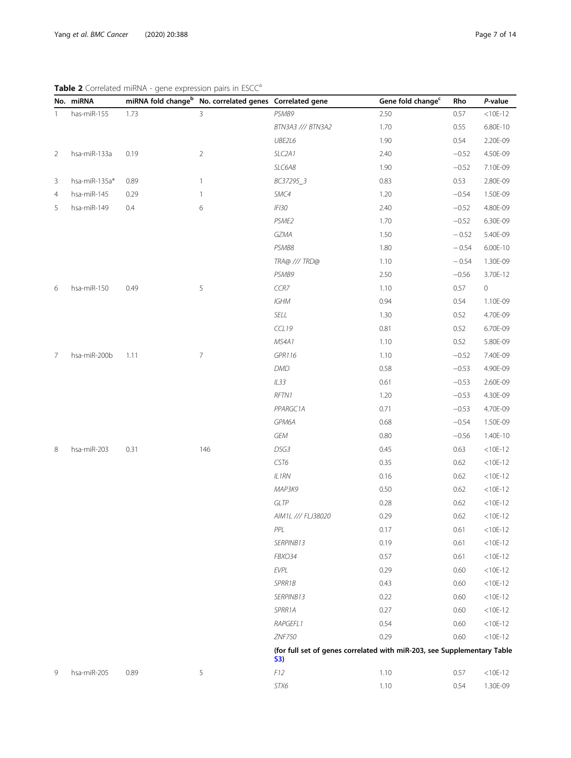|                | No. miRNA     |      | miRNA fold change <sup>b</sup> No. correlated genes Correlated gene |                    | Gene fold change <sup>c</sup>                                           | Rho     | P-value             |
|----------------|---------------|------|---------------------------------------------------------------------|--------------------|-------------------------------------------------------------------------|---------|---------------------|
| 1              | has-miR-155   | 1.73 | 3                                                                   | PSMB9              | 2.50                                                                    | 0.57    | $< 10E - 12$        |
|                |               |      |                                                                     | BTN3A3 /// BTN3A2  | 1.70                                                                    | 0.55    | 6.80E-10            |
|                |               |      |                                                                     | UBE2L6             | 1.90                                                                    | 0.54    | 2.20E-09            |
| $\overline{2}$ | hsa-miR-133a  | 0.19 | $\overline{2}$                                                      | SLC2A1             | 2.40                                                                    | $-0.52$ | 4.50E-09            |
|                |               |      |                                                                     | SLC6A8             | 1.90                                                                    | $-0.52$ | 7.10E-09            |
| 3              | hsa-miR-135a* | 0.89 | $\mathbf{1}$                                                        | BC37295_3          | 0.83                                                                    | 0.53    | 2.80E-09            |
| 4              | hsa-miR-145   | 0.29 | $\mathbf{1}$                                                        | SMC4               | 1.20                                                                    | $-0.54$ | 1.50E-09            |
| 5              | hsa-miR-149   | 0.4  | 6                                                                   | <b>IFI30</b>       | 2.40                                                                    | $-0.52$ | 4.80E-09            |
|                |               |      |                                                                     | PSME2              | 1.70                                                                    | $-0.52$ | 6.30E-09            |
|                |               |      |                                                                     | GZMA               | 1.50                                                                    | $-0.52$ | 5.40E-09            |
|                |               |      |                                                                     | PSMB8              | 1.80                                                                    | $-0.54$ | 6.00E-10            |
|                |               |      |                                                                     | TRA@ /// TRD@      | 1.10                                                                    | $-0.54$ | 1.30E-09            |
|                |               |      |                                                                     | PSMB9              | 2.50                                                                    | $-0.56$ | 3.70E-12            |
| 6              | hsa-miR-150   | 0.49 | 5                                                                   | CCR7               | 1.10                                                                    | 0.57    | $\mathsf{O}\xspace$ |
|                |               |      |                                                                     | <b>IGHM</b>        | 0.94                                                                    | 0.54    | 1.10E-09            |
|                |               |      |                                                                     | SELL               | 1.30                                                                    | 0.52    | 4.70E-09            |
|                |               |      |                                                                     | CCL19              | 0.81                                                                    | 0.52    | 6.70E-09            |
|                |               |      |                                                                     | MS4A1              | 1.10                                                                    | 0.52    | 5.80E-09            |
| 7              | hsa-miR-200b  | 1.11 | 7                                                                   | GPR116             | 1.10                                                                    | $-0.52$ | 7.40E-09            |
|                |               |      |                                                                     | <b>DMD</b>         | 0.58                                                                    | $-0.53$ | 4.90E-09            |
|                |               |      |                                                                     | IL33               | 0.61                                                                    | $-0.53$ | 2.60E-09            |
|                |               |      |                                                                     | RFTN1              | 1.20                                                                    | $-0.53$ | 4.30E-09            |
|                |               |      |                                                                     | PPARGC1A           | 0.71                                                                    | $-0.53$ | 4.70E-09            |
|                |               |      |                                                                     | GPM6A              | 0.68                                                                    | $-0.54$ | 1.50E-09            |
|                |               |      |                                                                     | GEM                | 0.80                                                                    | $-0.56$ | 1.40E-10            |
| 8              | hsa-miR-203   | 0.31 | 146                                                                 | DSG3               | 0.45                                                                    | 0.63    | $< 10E - 12$        |
|                |               |      |                                                                     | CST6               | 0.35                                                                    | 0.62    | $< 10E - 12$        |
|                |               |      |                                                                     | IL1RN              | 0.16                                                                    | 0.62    | $< 10E - 12$        |
|                |               |      |                                                                     | МАРЗК9             | 0.50                                                                    | 0.62    | $< 10E - 12$        |
|                |               |      |                                                                     | <b>GLTP</b>        | 0.28                                                                    | 0.62    | $< 10E - 12$        |
|                |               |      |                                                                     | AIM1L /// FLJ38020 | 0.29                                                                    | 0.62    | $< 10E - 12$        |
|                |               |      |                                                                     | PPL                | 0.17                                                                    | 0.61    | $< 10E - 12$        |
|                |               |      |                                                                     | SERPINB13          | 0.19                                                                    | 0.61    | $< 10E - 12$        |
|                |               |      |                                                                     | FBXO34             | 0.57                                                                    | 0.61    | $< 10E - 12$        |
|                |               |      |                                                                     | EVPL               | 0.29                                                                    | 0.60    | $< 10E - 12$        |
|                |               |      |                                                                     | SPRR1B             | 0.43                                                                    | 0.60    | $< 10E - 12$        |
|                |               |      |                                                                     | SERPINB13          | 0.22                                                                    | 0.60    | $< 10E - 12$        |
|                |               |      |                                                                     | SPRR1A             | 0.27                                                                    | 0.60    | $< 10E - 12$        |
|                |               |      |                                                                     | RAPGEFL1           | 0.54                                                                    | 0.60    | $< 10E - 12$        |
|                |               |      |                                                                     | ZNF750             | 0.29                                                                    | 0.60    | $< 10E - 12$        |
|                |               |      |                                                                     |                    | (for full set of genes correlated with miR-203, see Supplementary Table |         |                     |
|                |               |      |                                                                     | S3)                |                                                                         |         |                     |
| 9              | hsa-miR-205   | 0.89 | 5                                                                   | F12                | 1.10                                                                    | 0.57    | $< 10E - 12$        |
|                |               |      |                                                                     | STX6               | 1.10                                                                    | 0.54    | 1.30E-09            |

## <span id="page-6-0"></span>Table 2 Correlated miRNA - gene expression pairs in ESCC<sup>a</sup>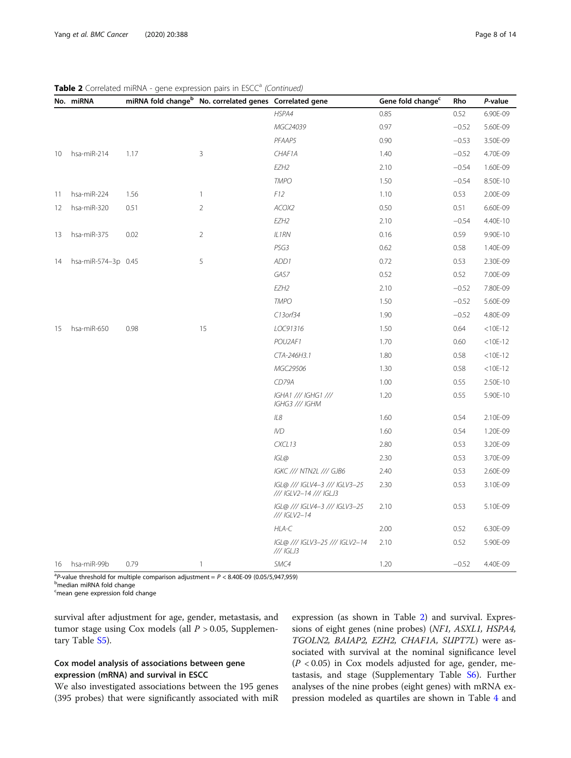|    | No. miRNA           |      | miRNA fold change <sup>b</sup> No. correlated genes Correlated gene |                                                         | Gene fold change <sup>c</sup> | Rho     | P-value      |
|----|---------------------|------|---------------------------------------------------------------------|---------------------------------------------------------|-------------------------------|---------|--------------|
|    |                     |      |                                                                     | HSPA4                                                   | 0.85                          | 0.52    | 6.90E-09     |
|    |                     |      |                                                                     | MGC24039                                                | 0.97                          | $-0.52$ | 5.60E-09     |
|    |                     |      |                                                                     | PFAAP5                                                  | 0.90                          | $-0.53$ | 3.50E-09     |
| 10 | hsa-miR-214         | 1.17 | 3                                                                   | CHAF1A                                                  | 1.40                          | $-0.52$ | 4.70E-09     |
|    |                     |      |                                                                     | EZH2                                                    | 2.10                          | $-0.54$ | 1.60E-09     |
|    |                     |      |                                                                     | <b>TMPO</b>                                             | 1.50                          | $-0.54$ | 8.50E-10     |
| 11 | hsa-miR-224         | 1.56 | $\mathbf{1}$                                                        | F12                                                     | 1.10                          | 0.53    | 2.00E-09     |
| 12 | hsa-miR-320         | 0.51 | $\overline{2}$                                                      | ACOX2                                                   | 0.50                          | 0.51    | 6.60E-09     |
|    |                     |      |                                                                     | EZH2                                                    | 2.10                          | $-0.54$ | 4.40E-10     |
| 13 | hsa-miR-375         | 0.02 | 2                                                                   | IL1RN                                                   | 0.16                          | 0.59    | 9.90E-10     |
|    |                     |      |                                                                     | PSG3                                                    | 0.62                          | 0.58    | 1.40E-09     |
| 14 | hsa-miR-574-3p 0.45 |      | 5                                                                   | ADD1                                                    | 0.72                          | 0.53    | 2.30E-09     |
|    |                     |      |                                                                     | GAS7                                                    | 0.52                          | 0.52    | 7.00E-09     |
|    |                     |      |                                                                     | EZH2                                                    | 2.10                          | $-0.52$ | 7.80E-09     |
|    |                     |      |                                                                     | <b>TMPO</b>                                             | 1.50                          | $-0.52$ | 5.60E-09     |
|    |                     |      |                                                                     | C13orf34                                                | 1.90                          | $-0.52$ | 4.80E-09     |
| 15 | hsa-miR-650         | 0.98 | 15                                                                  | LOC91316                                                | 1.50                          | 0.64    | $< 10E - 12$ |
|    |                     |      |                                                                     | POU2AF1                                                 | 1.70                          | 0.60    | $< 10E - 12$ |
|    |                     |      |                                                                     | CTA-246H3.1                                             | 1.80                          | 0.58    | $< 10E - 12$ |
|    |                     |      |                                                                     | MGC29506                                                | 1.30                          | 0.58    | $< 10E - 12$ |
|    |                     |      |                                                                     | CD79A                                                   | 1.00                          | 0.55    | 2.50E-10     |
|    |                     |      |                                                                     | IGHA1 /// IGHG1 ///<br>IGHG3 /// IGHM                   | 1.20                          | 0.55    | 5.90E-10     |
|    |                     |      |                                                                     | IL8                                                     | 1.60                          | 0.54    | 2.10E-09     |
|    |                     |      |                                                                     | <b>IVD</b>                                              | 1.60                          | 0.54    | 1.20E-09     |
|    |                     |      |                                                                     | CXCL13                                                  | 2.80                          | 0.53    | 3.20E-09     |
|    |                     |      |                                                                     | IGL@                                                    | 2.30                          | 0.53    | 3.70E-09     |
|    |                     |      |                                                                     | IGKC /// NTN2L /// GJB6                                 | 2.40                          | 0.53    | 2.60E-09     |
|    |                     |      |                                                                     | IGL@ /// IGLV4-3 /// IGLV3-25<br>/// IGLV2-14 /// IGLJ3 | 2.30                          | 0.53    | 3.10E-09     |
|    |                     |      |                                                                     | IGL@ /// IGLV4-3 /// IGLV3-25<br>/// IGLV2-14           | 2.10                          | 0.53    | 5.10E-09     |
|    |                     |      |                                                                     | HLA-C                                                   | 2.00                          | 0.52    | 6.30E-09     |
|    |                     |      |                                                                     | IGL@ /// IGLV3-25 /// IGLV2-14<br>/// IGLJ3             | 2.10                          | 0.52    | 5.90E-09     |
| 16 | hsa-miR-99b         | 0.79 | $\mathbf{1}$                                                        | SMC4                                                    | 1.20                          | $-0.52$ | 4.40E-09     |

|  | Table 2 Correlated miRNA - gene expression pairs in ESCC <sup>a</sup> (Continued) |  |  |
|--|-----------------------------------------------------------------------------------|--|--|
|  |                                                                                   |  |  |

<sup>a</sup>P-value threshold for multiple comparison adjustment =  $P < 8.40E$ -09 (0.05/5,947,959)<br><sup>b</sup>modian mi<sup>DNA</sup> fold change

b<sub>median</sub> miRNA fold change

<sup>c</sup>mean gene expression fold change

survival after adjustment for age, gender, metastasis, and tumor stage using Cox models (all  $P > 0.05$ , Supplementary Table [S5](#page-12-0)).

## Cox model analysis of associations between gene expression (mRNA) and survival in ESCC

We also investigated associations between the 195 genes (395 probes) that were significantly associated with miR expression (as shown in Table [2](#page-6-0)) and survival. Expressions of eight genes (nine probes) (NF1, ASXL1, HSPA4, TGOLN2, BAIAP2, EZH2, CHAF1A, SUPT7L) were associated with survival at the nominal significance level  $(P < 0.05)$  in Cox models adjusted for age, gender, metastasis, and stage (Supplementary Table [S6\)](#page-12-0). Further analyses of the nine probes (eight genes) with mRNA expression modeled as quartiles are shown in Table [4](#page-11-0) and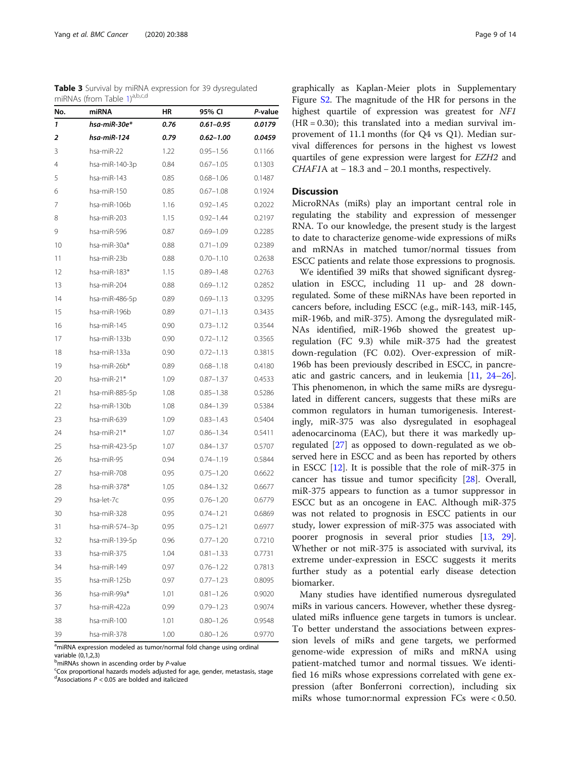<span id="page-8-0"></span>Table 3 Survival by miRNA expression for 39 dysregulated miRNAs (from Table [1\)](#page-4-0)<sup>a,b,c,d</sup>

| No. | miRNA          | <b>HR</b> | 95% CI        | P-value |
|-----|----------------|-----------|---------------|---------|
| 1   | hsa-miR-30e*   | 0.76      | $0.61 - 0.95$ | 0.0179  |
| 2   | hsa-miR-124    | 0.79      | $0.62 - 1.00$ | 0.0459  |
| 3   | hsa-miR-22     | 1.22      | $0.95 - 1.56$ | 0.1166  |
| 4   | hsa-miR-140-3p | 0.84      | $0.67 - 1.05$ | 0.1303  |
| 5   | hsa-miR-143    | 0.85      | $0.68 - 1.06$ | 0.1487  |
| 6   | hsa-miR-150    | 0.85      | $0.67 - 1.08$ | 0.1924  |
| 7   | hsa-miR-106b   | 1.16      | $0.92 - 1.45$ | 0.2022  |
| 8   | hsa-miR-203    | 1.15      | $0.92 - 1.44$ | 0.2197  |
| 9   | hsa-miR-596    | 0.87      | $0.69 - 1.09$ | 0.2285  |
| 10  | hsa-miR-30a*   | 0.88      | $0.71 - 1.09$ | 0.2389  |
| 11  | hsa-miR-23b    | 0.88      | $0.70 - 1.10$ | 0.2638  |
| 12  | hsa-miR-183*   | 1.15      | $0.89 - 1.48$ | 0.2763  |
| 13  | hsa-miR-204    | 0.88      | $0.69 - 1.12$ | 0.2852  |
| 14  | hsa-miR-486-5p | 0.89      | $0.69 - 1.13$ | 0.3295  |
| 15  | hsa-miR-196b   | 0.89      | $0.71 - 1.13$ | 0.3435  |
| 16  | hsa-miR-145    | 0.90      | $0.73 - 1.12$ | 0.3544  |
| 17  | hsa-miR-133b   | 0.90      | $0.72 - 1.12$ | 0.3565  |
| 18  | hsa-miR-133a   | 0.90      | $0.72 - 1.13$ | 0.3815  |
| 19  | hsa-miR-26b*   | 0.89      | $0.68 - 1.18$ | 0.4180  |
| 20  | hsa-miR-21*    | 1.09      | $0.87 - 1.37$ | 0.4533  |
| 21  | hsa-miR-885-5p | 1.08      | $0.85 - 1.38$ | 0.5286  |
| 22  | hsa-miR-130b   | 1.08      | $0.84 - 1.39$ | 0.5384  |
| 23  | hsa-miR-639    | 1.09      | $0.83 - 1.43$ | 0.5404  |
| 24  | hsa-miR-21*    | 1.07      | $0.86 - 1.34$ | 0.5411  |
| 25  | hsa-miR-423-5p | 1.07      | $0.84 - 1.37$ | 0.5707  |
| 26  | hsa-miR-95     | 0.94      | 0.74-1.19     | 0.5844  |
| 27  | hsa-miR-708    | 0.95      | $0.75 - 1.20$ | 0.6622  |
| 28  | hsa-miR-378*   | 1.05      | $0.84 - 1.32$ | 0.6677  |
| 29  | hsa-let-7c     | 0.95      | $0.76 - 1.20$ | 0.6779  |
| 30  | hsa-miR-328    | 0.95      | $0.74 - 1.21$ | 0.6869  |
| 31  | hsa-miR-574-3p | 0.95      | $0.75 - 1.21$ | 0.6977  |
| 32  | hsa-miR-139-5p | 0.96      | $0.77 - 1.20$ | 0.7210  |
| 33  | hsa-miR-375    | 1.04      | $0.81 - 1.33$ | 0.7731  |
| 34  | hsa-miR-149    | 0.97      | $0.76 - 1.22$ | 0.7813  |
| 35  | hsa-miR-125b   | 0.97      | $0.77 - 1.23$ | 0.8095  |
| 36  | hsa-miR-99a*   | 1.01      | $0.81 - 1.26$ | 0.9020  |
| 37  | hsa-miR-422a   | 0.99      | $0.79 - 1.23$ | 0.9074  |
| 38  | hsa-miR-100    | 1.01      | $0.80 - 1.26$ | 0.9548  |
| 39  | hsa-miR-378    | 1.00      | $0.80 - 1.26$ | 0.9770  |

<sup>a</sup>miRNA expression modeled as tumor/normal fold change using ordinal variable (0,1,2,3)

b<sub>mi</sub>RNAs shown in ascending order by *P*-value<br>SCox preportional bazards models adjusted for

Cox proportional hazards models adjusted for age, gender, metastasis, stage  $d$ Associations  $P < 0.05$  are bolded and italicized

graphically as Kaplan-Meier plots in Supplementary Figure [S2](#page-12-0). The magnitude of the HR for persons in the highest quartile of expression was greatest for NF1  $(HR = 0.30)$ ; this translated into a median survival improvement of 11.1 months (for Q4 vs Q1). Median survival differences for persons in the highest vs lowest quartiles of gene expression were largest for EZH2 and CHAF1A at  $-18.3$  and  $-20.1$  months, respectively.

## **Discussion**

MicroRNAs (miRs) play an important central role in regulating the stability and expression of messenger RNA. To our knowledge, the present study is the largest to date to characterize genome-wide expressions of miRs and mRNAs in matched tumor/normal tissues from ESCC patients and relate those expressions to prognosis.

We identified 39 miRs that showed significant dysregulation in ESCC, including 11 up- and 28 downregulated. Some of these miRNAs have been reported in cancers before, including ESCC (e.g., miR-143, miR-145, miR-196b, and miR-375). Among the dysregulated miR-NAs identified, miR-196b showed the greatest upregulation (FC 9.3) while miR-375 had the greatest down-regulation (FC 0.02). Over-expression of miR-196b has been previously described in ESCC, in pancreatic and gastric cancers, and in leukemia [[11,](#page-13-0) [24](#page-13-0)–[26](#page-13-0)]. This phenomenon, in which the same miRs are dysregulated in different cancers, suggests that these miRs are common regulators in human tumorigenesis. Interestingly, miR-375 was also dysregulated in esophageal adenocarcinoma (EAC), but there it was markedly upregulated [[27\]](#page-13-0) as opposed to down-regulated as we observed here in ESCC and as been has reported by others in ESCC [\[12](#page-13-0)]. It is possible that the role of miR-375 in cancer has tissue and tumor specificity [[28\]](#page-13-0). Overall, miR-375 appears to function as a tumor suppressor in ESCC but as an oncogene in EAC. Although miR-375 was not related to prognosis in ESCC patients in our study, lower expression of miR-375 was associated with poorer prognosis in several prior studies [[13,](#page-13-0) [29](#page-13-0)]. Whether or not miR-375 is associated with survival, its extreme under-expression in ESCC suggests it merits further study as a potential early disease detection biomarker.

Many studies have identified numerous dysregulated miRs in various cancers. However, whether these dysregulated miRs influence gene targets in tumors is unclear. To better understand the associations between expression levels of miRs and gene targets, we performed genome-wide expression of miRs and mRNA using patient-matched tumor and normal tissues. We identified 16 miRs whose expressions correlated with gene expression (after Bonferroni correction), including six miRs whose tumor:normal expression FCs were < 0.50.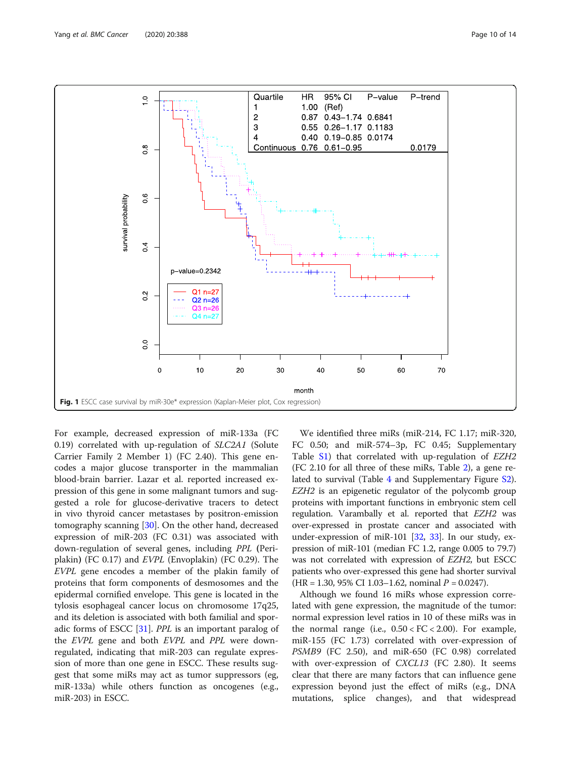<span id="page-9-0"></span>

For example, decreased expression of miR-133a (FC 0.19) correlated with up-regulation of SLC2A1 (Solute Carrier Family 2 Member 1) (FC 2.40). This gene encodes a major glucose transporter in the mammalian blood-brain barrier. Lazar et al. reported increased expression of this gene in some malignant tumors and suggested a role for glucose-derivative tracers to detect in vivo thyroid cancer metastases by positron-emission tomography scanning [\[30\]](#page-13-0). On the other hand, decreased expression of miR-203 (FC 0.31) was associated with down-regulation of several genes, including PPL (Periplakin) (FC 0.17) and EVPL (Envoplakin) (FC 0.29). The EVPL gene encodes a member of the plakin family of proteins that form components of desmosomes and the epidermal cornified envelope. This gene is located in the tylosis esophageal cancer locus on chromosome 17q25, and its deletion is associated with both familial and sporadic forms of ESCC [[31](#page-13-0)]. PPL is an important paralog of the EVPL gene and both EVPL and PPL were downregulated, indicating that miR-203 can regulate expression of more than one gene in ESCC. These results suggest that some miRs may act as tumor suppressors (eg, miR-133a) while others function as oncogenes (e.g., miR-203) in ESCC.

We identified three miRs (miR-214, FC 1.17; miR-320, FC 0.50; and miR-574–3p, FC 0.45; Supplementary Table [S1\)](#page-12-0) that correlated with up-regulation of EZH2 (FC 2.10 for all three of these miRs, Table [2](#page-6-0)), a gene related to survival (Table [4](#page-11-0) and Supplementary Figure [S2](#page-12-0)). EZH2 is an epigenetic regulator of the polycomb group proteins with important functions in embryonic stem cell regulation. Varambally et al. reported that EZH2 was over-expressed in prostate cancer and associated with under-expression of miR-101 [\[32,](#page-13-0) [33\]](#page-13-0). In our study, expression of miR-101 (median FC 1.2, range 0.005 to 79.7) was not correlated with expression of EZH2, but ESCC patients who over-expressed this gene had shorter survival  $(HR = 1.30, 95\% \text{ CI } 1.03 - 1.62, \text{ nominal } P = 0.0247).$ 

Although we found 16 miRs whose expression correlated with gene expression, the magnitude of the tumor: normal expression level ratios in 10 of these miRs was in the normal range (i.e.,  $0.50 < FC < 2.00$ ). For example, miR-155 (FC 1.73) correlated with over-expression of PSMB9 (FC 2.50), and miR-650 (FC 0.98) correlated with over-expression of CXCL13 (FC 2.80). It seems clear that there are many factors that can influence gene expression beyond just the effect of miRs (e.g., DNA mutations, splice changes), and that widespread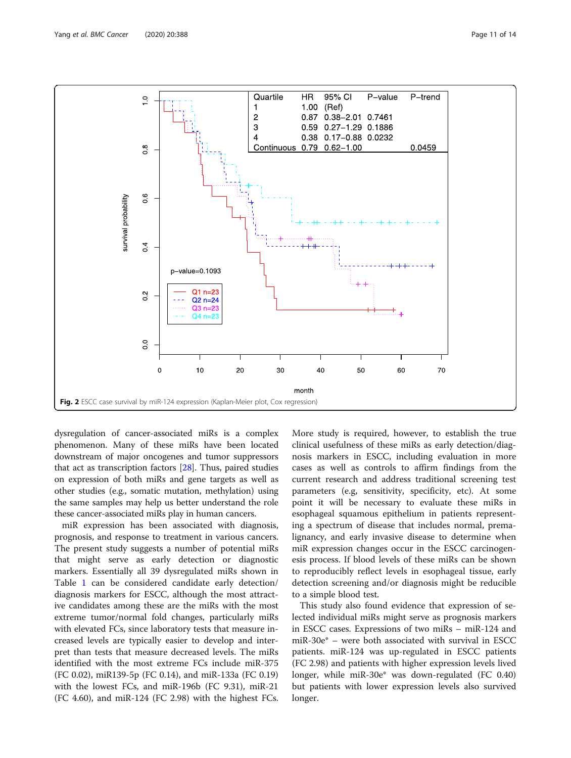<span id="page-10-0"></span>

dysregulation of cancer-associated miRs is a complex phenomenon. Many of these miRs have been located downstream of major oncogenes and tumor suppressors that act as transcription factors [\[28\]](#page-13-0). Thus, paired studies on expression of both miRs and gene targets as well as other studies (e.g., somatic mutation, methylation) using the same samples may help us better understand the role these cancer-associated miRs play in human cancers.

miR expression has been associated with diagnosis, prognosis, and response to treatment in various cancers. The present study suggests a number of potential miRs that might serve as early detection or diagnostic markers. Essentially all 39 dysregulated miRs shown in Table [1](#page-4-0) can be considered candidate early detection/ diagnosis markers for ESCC, although the most attractive candidates among these are the miRs with the most extreme tumor/normal fold changes, particularly miRs with elevated FCs, since laboratory tests that measure increased levels are typically easier to develop and interpret than tests that measure decreased levels. The miRs identified with the most extreme FCs include miR-375 (FC 0.02), miR139-5p (FC 0.14), and miR-133a (FC 0.19) with the lowest FCs, and miR-196b (FC 9.31), miR-21 (FC 4.60), and miR-124 (FC 2.98) with the highest FCs.

More study is required, however, to establish the true clinical usefulness of these miRs as early detection/diagnosis markers in ESCC, including evaluation in more cases as well as controls to affirm findings from the current research and address traditional screening test parameters (e.g, sensitivity, specificity, etc). At some point it will be necessary to evaluate these miRs in esophageal squamous epithelium in patients representing a spectrum of disease that includes normal, premalignancy, and early invasive disease to determine when miR expression changes occur in the ESCC carcinogenesis process. If blood levels of these miRs can be shown to reproducibly reflect levels in esophageal tissue, early detection screening and/or diagnosis might be reducible to a simple blood test.

This study also found evidence that expression of selected individual miRs might serve as prognosis markers in ESCC cases. Expressions of two miRs – miR-124 and miR-30e\* – were both associated with survival in ESCC patients. miR-124 was up-regulated in ESCC patients (FC 2.98) and patients with higher expression levels lived longer, while miR-30e\* was down-regulated (FC 0.40) but patients with lower expression levels also survived longer.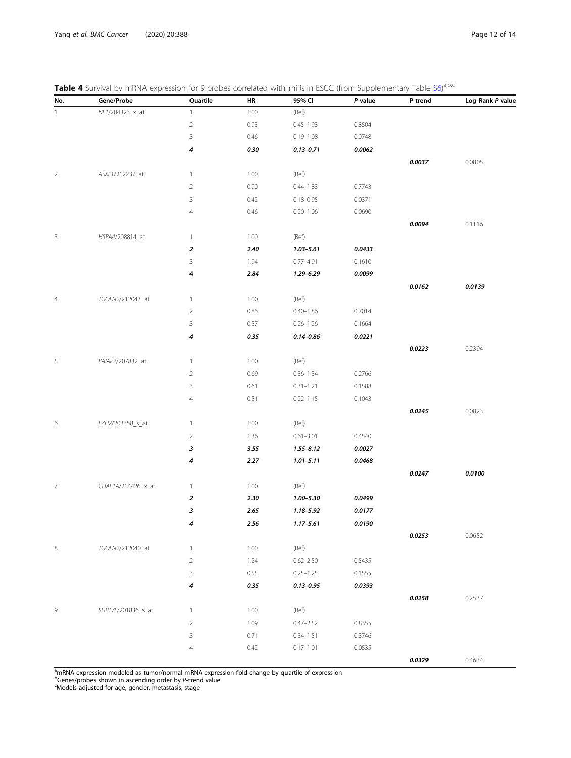<span id="page-11-0"></span>

|  |  |  |  |  | Table 4 Survival by mRNA expression for 9 probes correlated with miRs in ESCC (from Supplementary Table S6) <sup>a,b,c</sup> |  |
|--|--|--|--|--|------------------------------------------------------------------------------------------------------------------------------|--|
|  |  |  |  |  |                                                                                                                              |  |

| No.            | Gene/Probe         | Quartile                  | HR   | 95% CI        | P-value | P-trend | Log-Rank P-value |
|----------------|--------------------|---------------------------|------|---------------|---------|---------|------------------|
| $\mathbf{1}$   | NF1/204323_x_at    | $\mathbf{1}$              | 1.00 | (Ref)         |         |         |                  |
|                |                    | $\sqrt{2}$                | 0.93 | $0.45 - 1.93$ | 0.8504  |         |                  |
|                |                    | $\ensuremath{\mathsf{3}}$ | 0.46 | $0.19 - 1.08$ | 0.0748  |         |                  |
|                |                    | 4                         | 0.30 | $0.13 - 0.71$ | 0.0062  |         |                  |
|                |                    |                           |      |               |         | 0.0037  | 0.0805           |
| 2              | ASXL1/212237_at    | $\mathbf{1}$              | 1.00 | (Ref)         |         |         |                  |
|                |                    | $\overline{2}$            | 0.90 | $0.44 - 1.83$ | 0.7743  |         |                  |
|                |                    | 3                         | 0.42 | $0.18 - 0.95$ | 0.0371  |         |                  |
|                |                    | $\overline{4}$            | 0.46 | $0.20 - 1.06$ | 0.0690  |         |                  |
|                |                    |                           |      |               |         | 0.0094  | 0.1116           |
| 3              | HSPA4/208814_at    | $\mathbf{1}$              | 1.00 | (Ref)         |         |         |                  |
|                |                    | $\overline{2}$            | 2.40 | 1.03-5.61     | 0.0433  |         |                  |
|                |                    | $\mathsf 3$               | 1.94 | $0.77 - 4.91$ | 0.1610  |         |                  |
|                |                    | 4                         | 2.84 | 1.29-6.29     | 0.0099  |         |                  |
|                |                    |                           |      |               |         | 0.0162  | 0.0139           |
| $\overline{4}$ | TGOLN2/212043_at   | $\mathbf{1}$              | 1.00 | (Ref)         |         |         |                  |
|                |                    | $\sqrt{2}$                | 0.86 | $0.40 - 1.86$ | 0.7014  |         |                  |
|                |                    | $\ensuremath{\mathsf{3}}$ | 0.57 | $0.26 - 1.26$ | 0.1664  |         |                  |
|                |                    | 4                         | 0.35 | $0.14 - 0.86$ | 0.0221  |         |                  |
|                |                    |                           |      |               |         | 0.0223  | 0.2394           |
| 5              | BAIAP2/207832_at   | $\overline{1}$            | 1.00 | (Ref)         |         |         |                  |
|                |                    | $\overline{2}$            | 0.69 | $0.36 - 1.34$ | 0.2766  |         |                  |
|                |                    | $\ensuremath{\mathsf{3}}$ | 0.61 | $0.31 - 1.21$ | 0.1588  |         |                  |
|                |                    | 4                         | 0.51 | $0.22 - 1.15$ | 0.1043  |         |                  |
|                |                    |                           |      |               |         | 0.0245  | 0.0823           |
| 6              | EZH2/203358_s_at   | $\overline{1}$            | 1.00 | (Ref)         |         |         |                  |
|                |                    | $\overline{2}$            | 1.36 | $0.61 - 3.01$ | 0.4540  |         |                  |
|                |                    | 3                         | 3.55 | $1.55 - 8.12$ | 0.0027  |         |                  |
|                |                    | 4                         | 2.27 | $1.01 - 5.11$ | 0.0468  |         |                  |
|                |                    |                           |      |               |         | 0.0247  | 0.0100           |
| $\overline{7}$ | CHAF1A/214426_x_at | $\overline{1}$            | 1.00 | (Ref)         |         |         |                  |
|                |                    | $\boldsymbol{2}$          | 2.30 | $1.00 - 5.30$ | 0.0499  |         |                  |
|                |                    | 3                         | 2.65 | $1.18 - 5.92$ | 0.0177  |         |                  |
|                |                    | 4                         | 2.56 | $1.17 - 5.61$ | 0.0190  |         |                  |
|                |                    |                           |      |               |         | 0.0253  | 0.0652           |
| $\,8\,$        | TGOLN2/212040_at   | $\mathbf{1}$              | 1.00 | (Ref)         |         |         |                  |
|                |                    | $\overline{2}$            | 1.24 | $0.62 - 2.50$ | 0.5435  |         |                  |
|                |                    | $\mathsf 3$               | 0.55 | $0.25 - 1.25$ | 0.1555  |         |                  |
|                |                    | 4                         | 0.35 | $0.13 - 0.95$ | 0.0393  |         |                  |
|                |                    |                           |      |               |         | 0.0258  | 0.2537           |
| 9              | SUPT7L/201836_s_at | $\mathbf{1}$              | 1.00 | (Ref)         |         |         |                  |
|                |                    | $\sqrt{2}$                | 1.09 | $0.47 - 2.52$ | 0.8355  |         |                  |
|                |                    | $\mathsf 3$               | 0.71 | $0.34 - 1.51$ | 0.3746  |         |                  |
|                |                    | $\overline{4}$            | 0.42 | $0.17 - 1.01$ | 0.0535  |         |                  |
|                |                    |                           |      |               |         | 0.0329  | 0.4634           |

<sup>a</sup>mRNA expression modeled as tumor/normal mRNA expression fold change by quartile of expression<br><sup>b</sup>Genes/probes shown in ascending order by P-trend value<br><sup>c</sup>Models adjusted for age, gender, metastasis, stage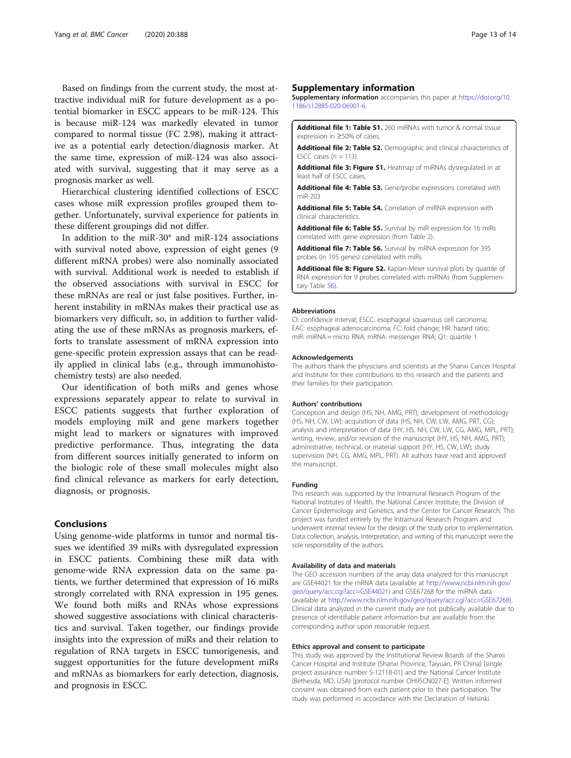<span id="page-12-0"></span>Based on findings from the current study, the most attractive individual miR for future development as a potential biomarker in ESCC appears to be miR-124. This is because miR-124 was markedly elevated in tumor compared to normal tissue (FC 2.98), making it attractive as a potential early detection/diagnosis marker. At the same time, expression of miR-124 was also associated with survival, suggesting that it may serve as a prognosis marker as well.

Hierarchical clustering identified collections of ESCC cases whose miR expression profiles grouped them together. Unfortunately, survival experience for patients in these different groupings did not differ.

In addition to the miR-30\* and miR-124 associations with survival noted above, expression of eight genes (9 different mRNA probes) were also nominally associated with survival. Additional work is needed to establish if the observed associations with survival in ESCC for these mRNAs are real or just false positives. Further, inherent instability in mRNAs makes their practical use as biomarkers very difficult, so, in addition to further validating the use of these mRNAs as prognosis markers, efforts to translate assessment of mRNA expression into gene-specific protein expression assays that can be readily applied in clinical labs (e.g., through immunohistochemistry tests) are also needed.

Our identification of both miRs and genes whose expressions separately appear to relate to survival in ESCC patients suggests that further exploration of models employing miR and gene markers together might lead to markers or signatures with improved predictive performance. Thus, integrating the data from different sources initially generated to inform on the biologic role of these small molecules might also find clinical relevance as markers for early detection, diagnosis, or prognosis.

## Conclusions

Using genome-wide platforms in tumor and normal tissues we identified 39 miRs with dysregulated expression in ESCC patients. Combining these miR data with genome-wide RNA expression data on the same patients, we further determined that expression of 16 miRs strongly correlated with RNA expression in 195 genes. We found both miRs and RNAs whose expressions showed suggestive associations with clinical characteristics and survival. Taken together, our findings provide insights into the expression of miRs and their relation to regulation of RNA targets in ESCC tumorigenesis, and suggest opportunities for the future development miRs and mRNAs as biomarkers for early detection, diagnosis, and prognosis in ESCC.

## Supplementary information

Supplementary information accompanies this paper at [https://doi.org/10.](https://doi.org/10.1186/s12885-020-06901-6) [1186/s12885-020-06901-6](https://doi.org/10.1186/s12885-020-06901-6).

Additional file 1: Table S1. 260 miRNAs with tumor & normal tissue expression in ≥50% of cases.

Additional file 2: Table S2. Demographic and clinical characteristics of ESCC cases  $(n = 113)$ .

Additional file 3: Figure S1. Heatmap of miRNAs dysregulated in at least half of ESCC cases.

Additional file 4: Table S3. Gene/probe expressions correlated with miR-203

Additional file 5: Table S4. Correlation of miRNA expression with clinical characteristics.

Additional file 6: Table S5. Survival by miR expression for 16 miRs correlated with gene expression (from Table 2).

Additional file 7: Table S6. Survival by mRNA expression for 395 probes (in 195 genes) correlated with miRs.

Additional file 8: Figure S2. Kaplan-Meier survival plots by quartile of RNA expression for 9 probes correlated with miRNAs (from Supplementary Table S6).

#### Abbreviations

CI: confidence interval; ESCC: esophageal squamous cell carcinoma; EAC: esophageal adenocarcinoma; FC: fold change; HR: hazard ratio; miR: miRNA = micro RNA; mRNA: messenger RNA; Q1: quartile 1

#### Acknowledgements

The authors thank the physicians and scientists at the Shanxi Cancer Hospital and Institute for their contributions to this research and the patients and their families for their participation.

#### Authors' contributions

Conception and design (HS, NH, AMG, PRT); development of methodology (HS, NH, CW, LW); acquisition of data (HS, NH, CW, LW, AMG, PRT, CG); analysis and interpretation of data (HY, HS, NH, CW, LW, CG, AMG, MPL, PRT); writing, review, and/or revision of the manuscript (HY, HS, NH, AMG, PRT); administrative, technical, or material support (HY, HS, CW, LW); study supervision (NH, CG, AMG, MPL, PRT). All authors have read and approved the manuscript.

#### Funding

This research was supported by the Intramural Research Program of the National Institutes of Health, the National Cancer Institute, the Division of Cancer Epidemiology and Genetics, and the Center for Cancer Research. This project was funded entirely by the Intramural Research Program and underwent internal review for the design of the study prior to implementation. Data collection, analysis, interpretation, and writing of this manuscript were the sole responsibility of the authors.

#### Availability of data and materials

The GEO accession numbers of the array data analyzed for this manuscript are GSE44021 for the mRNA data (available at [http://www.ncbi.nlm.nih.gov/](http://www.ncbi.nlm.nih.gov/geo/query/acc.cgi?acc=GSE44021) [geo/query/acc.cgi?acc=GSE44021](http://www.ncbi.nlm.nih.gov/geo/query/acc.cgi?acc=GSE44021)) and GSE67268 for the miRNA data (available at [http://www.ncbi.nlm.nih.gov/geo/query/acc.cgi?acc=GSE67268\)](http://www.ncbi.nlm.nih.gov/geo/query/acc.cgi?acc=GSE67268). Clinical data analyzed in the current study are not publically available due to presence of identifiable patient information but are available from the corresponding author upon reasonable request.

## Ethics approval and consent to participate

This study was approved by the Institutional Review Boards of the Shanxi Cancer Hospital and Institute (Shanxi Province, Taiyuan, PR China) [single project assurance number S-12118-01] and the National Cancer Institute (Bethesda, MD, USA) [protocol number OH95CN027-E]. Written informed consent was obtained from each patient prior to their participation. The study was performed in accordance with the Declaration of Helsinki.